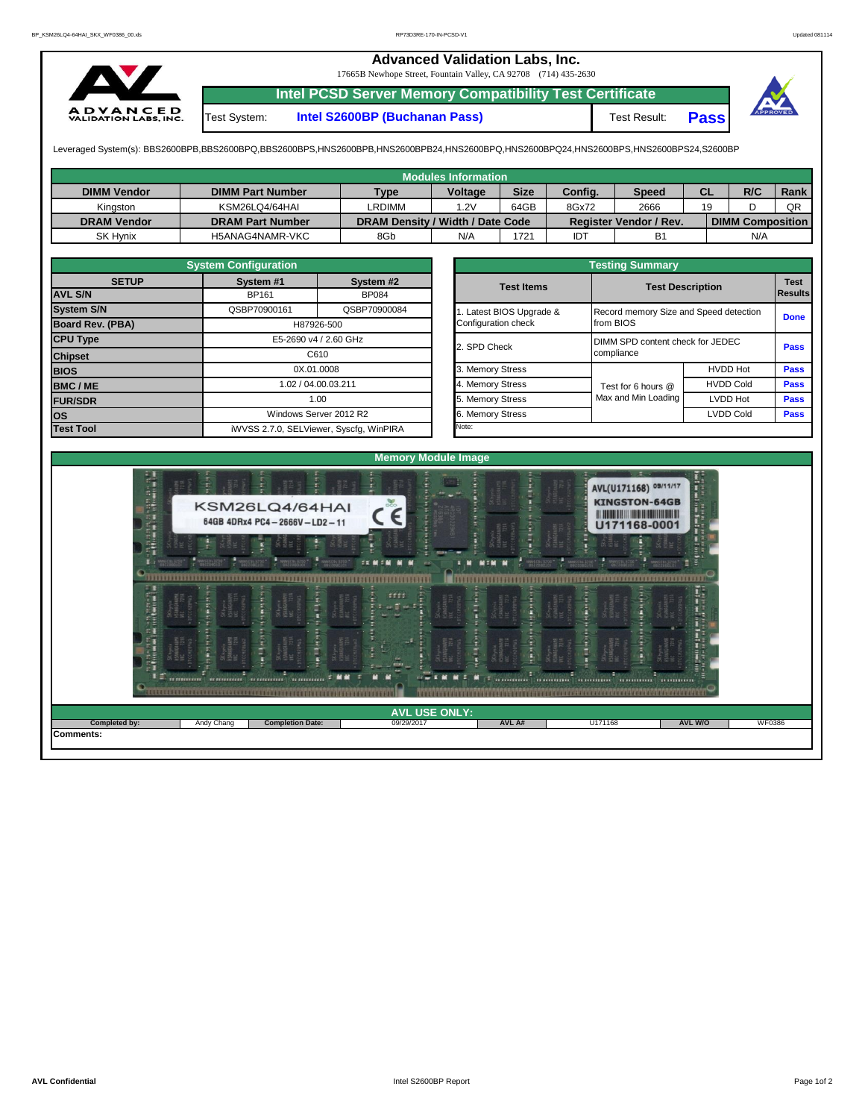## **Advanced Validation Labs, Inc.**

17665B Newhope Street, Fountain Valley, CA 92708 (714) 435-2630



**Intel PCSD Server Memory Compatibility Test Certificate**

Test System: **Intel S2600BP (Buchanan Pass)** Test Result: **Pass**

Leveraged System(s): BBS2600BPB,BBS2600BPQ,BBS2600BPS,HNS2600BPB,HNS2600BPB24,HNS2600BPQ,HNS2600BPQ24,HNS2600BPS,HNS2600BPS24,S2600BP

|                    |                         |                                  | Modules Information           |      |         |                        |           |                         |      |
|--------------------|-------------------------|----------------------------------|-------------------------------|------|---------|------------------------|-----------|-------------------------|------|
| <b>DIMM Vendor</b> | <b>DIMM Part Number</b> | <b>Type</b>                      | <b>Size</b><br><b>Voltage</b> |      | Config. | <b>Speed</b>           | <b>CL</b> | R/C                     | Rank |
| Kinaston           | KSM26LQ4/64HAI          | LRDIMM                           | 1.2V                          | 64GB | 8Gx72   | 2666                   | 19        |                         | QR   |
| <b>DRAM Vendor</b> | <b>DRAM Part Number</b> | DRAM Density / Width / Date Code |                               |      |         | Register Vendor / Rev. |           | <b>DIMM Composition</b> |      |
| <b>SK Hynix</b>    | H5ANAG4NAMR-VKC         | 8Gb                              | N/A                           | 1721 | IDT     | <b>B1</b>              |           | N/A                     |      |

|                                | <b>System Configuration</b>             |                           |  | <b>Testing Summary</b> |                                  |                                        |             |  |  |  |  |  |  |  |
|--------------------------------|-----------------------------------------|---------------------------|--|------------------------|----------------------------------|----------------------------------------|-------------|--|--|--|--|--|--|--|
| <b>SETUP</b><br><b>AVL S/N</b> | System #1<br>BP161                      | System #2<br><b>BP084</b> |  | <b>Test Items</b>      | <b>Test Description</b>          | <b>Test</b><br>Results                 |             |  |  |  |  |  |  |  |
|                                |                                         |                           |  |                        |                                  |                                        |             |  |  |  |  |  |  |  |
| <b>System S/N</b>              | QSBP70900161                            | QSBP70900084              |  | Latest BIOS Upgrade &  |                                  | Record memory Size and Speed detection |             |  |  |  |  |  |  |  |
| <b>Board Rev. (PBA)</b>        |                                         | H87926-500                |  | Configuration check    | from BIOS                        |                                        | <b>Done</b> |  |  |  |  |  |  |  |
| <b>CPU Type</b>                | E5-2690 v4 / 2.60 GHz                   |                           |  | 2. SPD Check           | DIMM SPD content check for JEDEC |                                        |             |  |  |  |  |  |  |  |
| <b>Chipset</b>                 | C610                                    |                           |  |                        | compliance                       | <b>Pass</b>                            |             |  |  |  |  |  |  |  |
| <b>BIOS</b>                    |                                         | 0X.01.0008                |  | 3. Memory Stress       |                                  | <b>HVDD Hot</b>                        | <b>Pass</b> |  |  |  |  |  |  |  |
| <b>BMC/ME</b>                  |                                         | 1.02 / 04.00.03.211       |  | 4. Memory Stress       | Test for 6 hours @               | <b>HVDD Cold</b>                       | <b>Pass</b> |  |  |  |  |  |  |  |
| <b>FUR/SDR</b>                 |                                         | 1.00                      |  | 5. Memory Stress       | Max and Min Loading              | LVDD Hot                               | <b>Pass</b> |  |  |  |  |  |  |  |
| los                            |                                         | Windows Server 2012 R2    |  | 6. Memory Stress       |                                  | <b>LVDD Cold</b>                       | <b>Pass</b> |  |  |  |  |  |  |  |
| <b>Test Tool</b>               | iWVSS 2.7.0, SELViewer, Syscfq, WinPIRA |                           |  |                        |                                  |                                        |             |  |  |  |  |  |  |  |